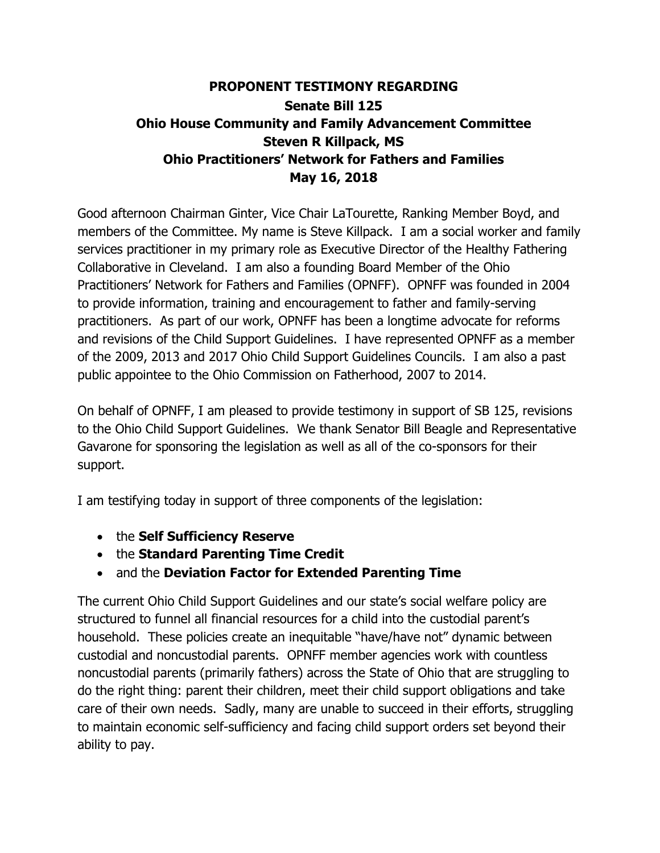# **PROPONENT TESTIMONY REGARDING Senate Bill 125 Ohio House Community and Family Advancement Committee Steven R Killpack, MS Ohio Practitioners' Network for Fathers and Families May 16, 2018**

Good afternoon Chairman Ginter, Vice Chair LaTourette, Ranking Member Boyd, and members of the Committee. My name is Steve Killpack. I am a social worker and family services practitioner in my primary role as Executive Director of the Healthy Fathering Collaborative in Cleveland. I am also a founding Board Member of the Ohio Practitioners' Network for Fathers and Families (OPNFF). OPNFF was founded in 2004 to provide information, training and encouragement to father and family-serving practitioners. As part of our work, OPNFF has been a longtime advocate for reforms and revisions of the Child Support Guidelines. I have represented OPNFF as a member of the 2009, 2013 and 2017 Ohio Child Support Guidelines Councils. I am also a past public appointee to the Ohio Commission on Fatherhood, 2007 to 2014.

On behalf of OPNFF, I am pleased to provide testimony in support of SB 125, revisions to the Ohio Child Support Guidelines. We thank Senator Bill Beagle and Representative Gavarone for sponsoring the legislation as well as all of the co-sponsors for their support.

I am testifying today in support of three components of the legislation:

- the **Self Sufficiency Reserve**
- the **Standard Parenting Time Credit**
- and the **Deviation Factor for Extended Parenting Time**

The current Ohio Child Support Guidelines and our state's social welfare policy are structured to funnel all financial resources for a child into the custodial parent's household. These policies create an inequitable "have/have not" dynamic between custodial and noncustodial parents. OPNFF member agencies work with countless noncustodial parents (primarily fathers) across the State of Ohio that are struggling to do the right thing: parent their children, meet their child support obligations and take care of their own needs. Sadly, many are unable to succeed in their efforts, struggling to maintain economic self-sufficiency and facing child support orders set beyond their ability to pay.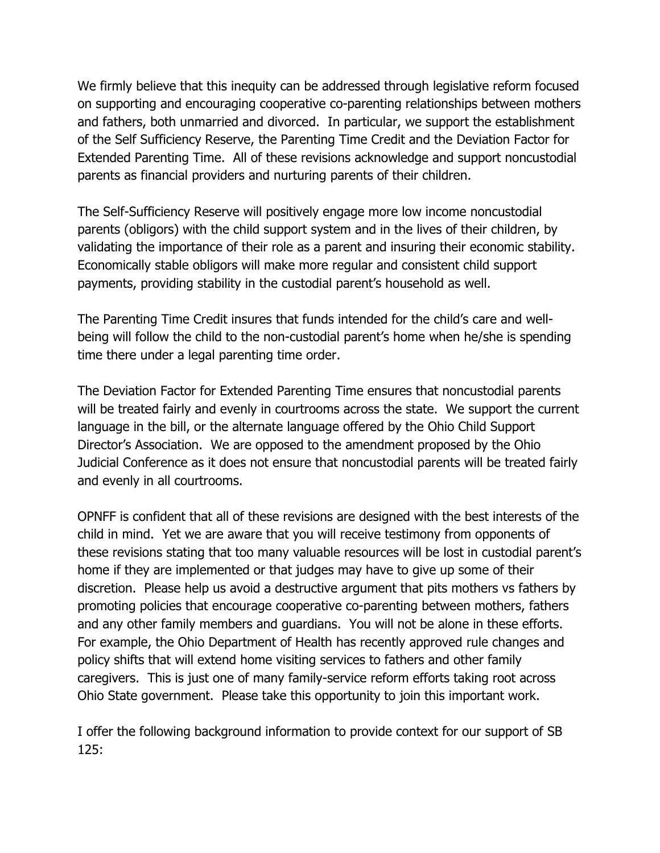We firmly believe that this inequity can be addressed through legislative reform focused on supporting and encouraging cooperative co-parenting relationships between mothers and fathers, both unmarried and divorced. In particular, we support the establishment of the Self Sufficiency Reserve, the Parenting Time Credit and the Deviation Factor for Extended Parenting Time. All of these revisions acknowledge and support noncustodial parents as financial providers and nurturing parents of their children.

The Self-Sufficiency Reserve will positively engage more low income noncustodial parents (obligors) with the child support system and in the lives of their children, by validating the importance of their role as a parent and insuring their economic stability. Economically stable obligors will make more regular and consistent child support payments, providing stability in the custodial parent's household as well.

The Parenting Time Credit insures that funds intended for the child's care and wellbeing will follow the child to the non-custodial parent's home when he/she is spending time there under a legal parenting time order.

The Deviation Factor for Extended Parenting Time ensures that noncustodial parents will be treated fairly and evenly in courtrooms across the state. We support the current language in the bill, or the alternate language offered by the Ohio Child Support Director's Association. We are opposed to the amendment proposed by the Ohio Judicial Conference as it does not ensure that noncustodial parents will be treated fairly and evenly in all courtrooms.

OPNFF is confident that all of these revisions are designed with the best interests of the child in mind. Yet we are aware that you will receive testimony from opponents of these revisions stating that too many valuable resources will be lost in custodial parent's home if they are implemented or that judges may have to give up some of their discretion. Please help us avoid a destructive argument that pits mothers vs fathers by promoting policies that encourage cooperative co-parenting between mothers, fathers and any other family members and guardians. You will not be alone in these efforts. For example, the Ohio Department of Health has recently approved rule changes and policy shifts that will extend home visiting services to fathers and other family caregivers. This is just one of many family-service reform efforts taking root across Ohio State government. Please take this opportunity to join this important work.

I offer the following background information to provide context for our support of SB 125: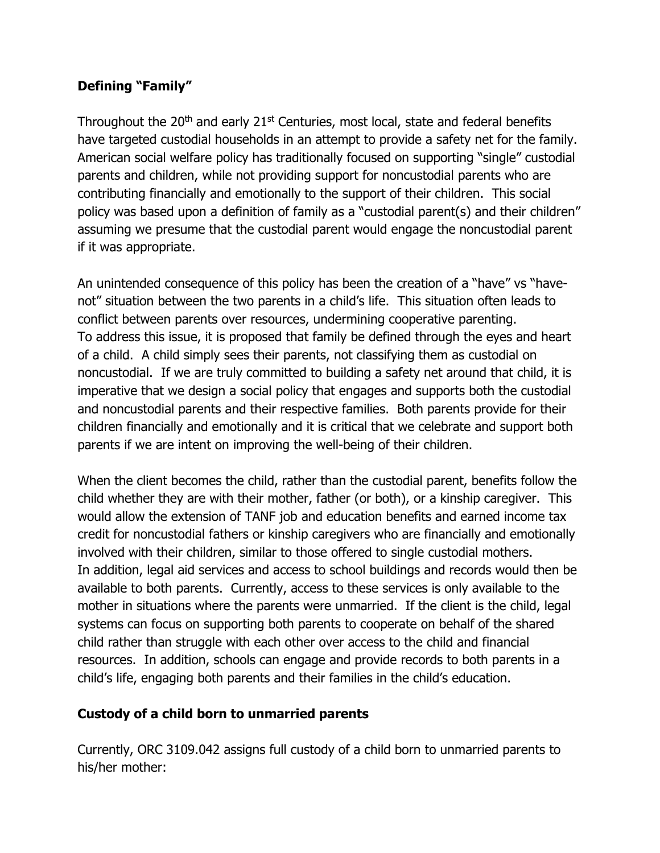## **Defining "Family"**

Throughout the  $20<sup>th</sup>$  and early  $21<sup>st</sup>$  Centuries, most local, state and federal benefits have targeted custodial households in an attempt to provide a safety net for the family. American social welfare policy has traditionally focused on supporting "single" custodial parents and children, while not providing support for noncustodial parents who are contributing financially and emotionally to the support of their children. This social policy was based upon a definition of family as a "custodial parent(s) and their children" assuming we presume that the custodial parent would engage the noncustodial parent if it was appropriate.

An unintended consequence of this policy has been the creation of a "have" vs "havenot" situation between the two parents in a child's life. This situation often leads to conflict between parents over resources, undermining cooperative parenting. To address this issue, it is proposed that family be defined through the eyes and heart of a child. A child simply sees their parents, not classifying them as custodial on noncustodial. If we are truly committed to building a safety net around that child, it is imperative that we design a social policy that engages and supports both the custodial and noncustodial parents and their respective families. Both parents provide for their children financially and emotionally and it is critical that we celebrate and support both parents if we are intent on improving the well-being of their children.

When the client becomes the child, rather than the custodial parent, benefits follow the child whether they are with their mother, father (or both), or a kinship caregiver. This would allow the extension of TANF job and education benefits and earned income tax credit for noncustodial fathers or kinship caregivers who are financially and emotionally involved with their children, similar to those offered to single custodial mothers. In addition, legal aid services and access to school buildings and records would then be available to both parents. Currently, access to these services is only available to the mother in situations where the parents were unmarried. If the client is the child, legal systems can focus on supporting both parents to cooperate on behalf of the shared child rather than struggle with each other over access to the child and financial resources. In addition, schools can engage and provide records to both parents in a child's life, engaging both parents and their families in the child's education.

#### **Custody of a child born to unmarried parents**

Currently, ORC 3109.042 assigns full custody of a child born to unmarried parents to his/her mother: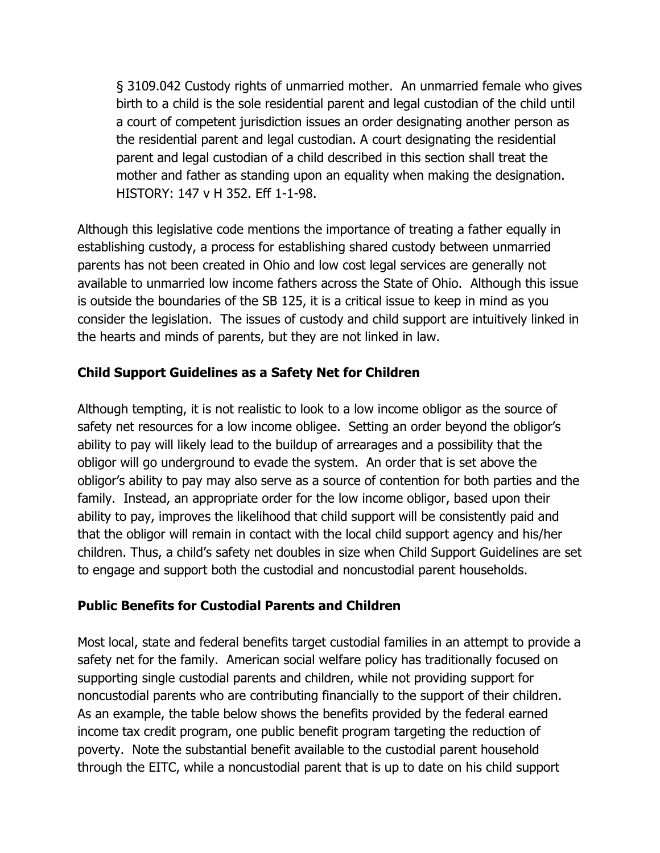§ 3109.042 Custody rights of unmarried mother. An unmarried female who gives birth to a child is the sole residential parent and legal custodian of the child until a court of competent jurisdiction issues an order designating another person as the residential parent and legal custodian. A court designating the residential parent and legal custodian of a child described in this section shall treat the mother and father as standing upon an equality when making the designation. HISTORY: 147 v H 352. Eff 1-1-98.

Although this legislative code mentions the importance of treating a father equally in establishing custody, a process for establishing shared custody between unmarried parents has not been created in Ohio and low cost legal services are generally not available to unmarried low income fathers across the State of Ohio. Although this issue is outside the boundaries of the SB 125, it is a critical issue to keep in mind as you consider the legislation. The issues of custody and child support are intuitively linked in the hearts and minds of parents, but they are not linked in law.

## **Child Support Guidelines as a Safety Net for Children**

Although tempting, it is not realistic to look to a low income obligor as the source of safety net resources for a low income obligee. Setting an order beyond the obligor's ability to pay will likely lead to the buildup of arrearages and a possibility that the obligor will go underground to evade the system. An order that is set above the obligor's ability to pay may also serve as a source of contention for both parties and the family. Instead, an appropriate order for the low income obligor, based upon their ability to pay, improves the likelihood that child support will be consistently paid and that the obligor will remain in contact with the local child support agency and his/her children. Thus, a child's safety net doubles in size when Child Support Guidelines are set to engage and support both the custodial and noncustodial parent households.

#### **Public Benefits for Custodial Parents and Children**

Most local, state and federal benefits target custodial families in an attempt to provide a safety net for the family. American social welfare policy has traditionally focused on supporting single custodial parents and children, while not providing support for noncustodial parents who are contributing financially to the support of their children. As an example, the table below shows the benefits provided by the federal earned income tax credit program, one public benefit program targeting the reduction of poverty. Note the substantial benefit available to the custodial parent household through the EITC, while a noncustodial parent that is up to date on his child support